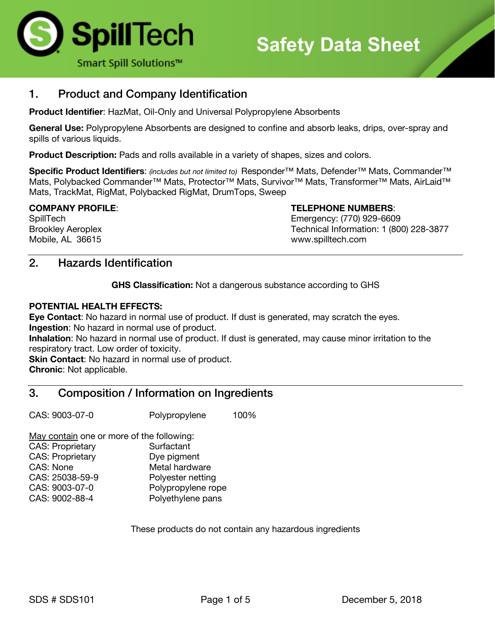

## 1. Product and Company Identification

**Product Identifier**: HazMat, Oil-Only and Universal Polypropylene Absorbents

**General Use:** Polypropylene Absorbents are designed to confine and absorb leaks, drips, over-spray and spills of various liquids.

**Product Description:** Pads and rolls available in a variety of shapes, sizes and colors.

**Specific Product Identifiers**: *(includes but not limited to)* Responder™ Mats, Defender™ Mats, Commander™ Mats, Polybacked Commander<sup>™</sup> Mats, Protector™ Mats, Survivor™ Mats, Transformer™ Mats, AirLaid™ Mats, TrackMat, RigMat, Polybacked RigMat, DrumTops, Sweep

**COMPANY PROFILE**: **TELEPHONE NUMBERS**:

SpillTech Emergency: (770) 929-6609 Brookley Aeroplex Technical Information: 1 (800) 228-3877 Mobile, AL 36615 www.spilltech.com

## 2. Hazards Identification

**GHS Classification:** Not a dangerous substance according to GHS

#### **POTENTIAL HEALTH EFFECTS:**

**Eye Contact**: No hazard in normal use of product. If dust is generated, may scratch the eyes. **Ingestion**: No hazard in normal use of product.

**Inhalation**: No hazard in normal use of product. If dust is generated, may cause minor irritation to the respiratory tract. Low order of toxicity.

**Skin Contact:** No hazard in normal use of product. **Chronic**: Not applicable.

## 3. Composition / Information on Ingredients

CAS: 9003-07-0 Polypropylene 100%

May contain one or more of the following: CAS: Proprietary Surfactant

| <b>CAS: Proprietary</b> | Dye pigment        |
|-------------------------|--------------------|
| CAS: None               | Metal hardware     |
| CAS: 25038-59-9         | Polyester netting  |
| CAS: 9003-07-0          | Polypropylene rope |
| CAS: 9002-88-4          | Polyethylene pans  |
|                         |                    |

These products do not contain any hazardous ingredients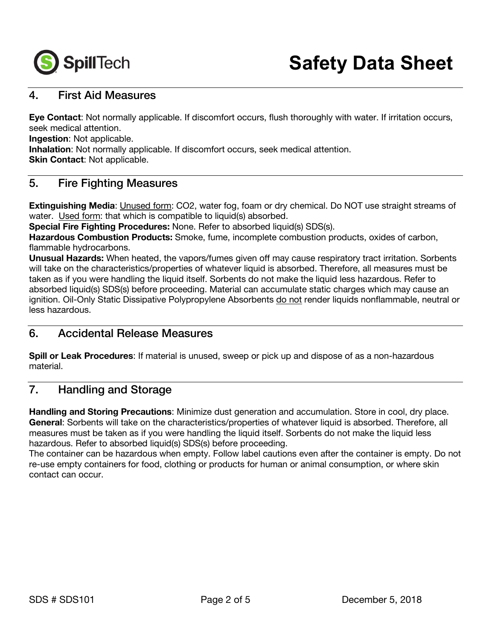

## 4. First Aid Measures

**Eye Contact**: Not normally applicable. If discomfort occurs, flush thoroughly with water. If irritation occurs, seek medical attention.

**Ingestion:** Not applicable.

**Inhalation**: Not normally applicable. If discomfort occurs, seek medical attention.

**Skin Contact: Not applicable.** 

## 5. Fire Fighting Measures

**Extinguishing Media**: Unused form: CO2, water fog, foam or dry chemical. Do NOT use straight streams of water. Used form: that which is compatible to liquid(s) absorbed.

**Special Fire Fighting Procedures:** None. Refer to absorbed liquid(s) SDS(s).

**Hazardous Combustion Products:** Smoke, fume, incomplete combustion products, oxides of carbon, flammable hydrocarbons.

**Unusual Hazards:** When heated, the vapors/fumes given off may cause respiratory tract irritation. Sorbents will take on the characteristics/properties of whatever liquid is absorbed. Therefore, all measures must be taken as if you were handling the liquid itself. Sorbents do not make the liquid less hazardous. Refer to absorbed liquid(s) SDS(s) before proceeding. Material can accumulate static charges which may cause an ignition. Oil-Only Static Dissipative Polypropylene Absorbents do not render liquids nonflammable, neutral or less hazardous.

## 6. Accidental Release Measures

**Spill or Leak Procedures**: If material is unused, sweep or pick up and dispose of as a non-hazardous material.

## 7. Handling and Storage

**Handling and Storing Precautions**: Minimize dust generation and accumulation. Store in cool, dry place. **General**: Sorbents will take on the characteristics/properties of whatever liquid is absorbed. Therefore, all measures must be taken as if you were handling the liquid itself. Sorbents do not make the liquid less hazardous. Refer to absorbed liquid(s) SDS(s) before proceeding.

The container can be hazardous when empty. Follow label cautions even after the container is empty. Do not re-use empty containers for food, clothing or products for human or animal consumption, or where skin contact can occur.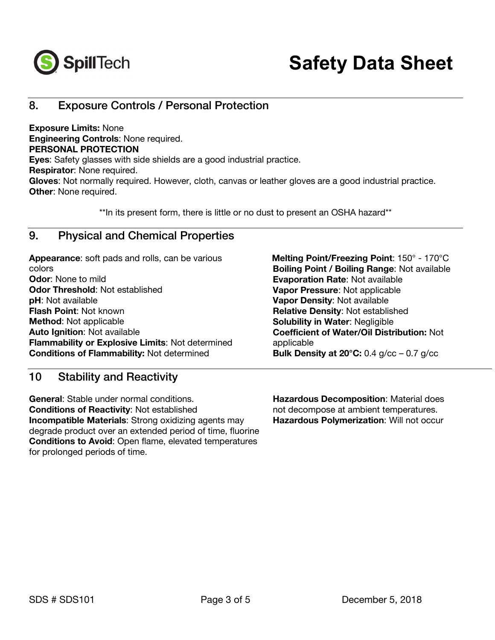

## 8. Exposure Controls / Personal Protection

**Exposure Limits:** None **Engineering Controls**: None required. **PERSONAL PROTECTION Eyes**: Safety glasses with side shields are a good industrial practice. **Respirator**: None required. **Gloves**: Not normally required. However, cloth, canvas or leather gloves are a good industrial practice. **Other**: None required.

\*\*In its present form, there is little or no dust to present an OSHA hazard\*\*

## 9. Physical and Chemical Properties

**Appearance**: soft pads and rolls, can be various colors **Odor**: None to mild **Odor Threshold**: Not established **pH**: Not available **Flash Point**: Not known **Method**: Not applicable **Auto Ignition**: Not available **Flammability or Explosive Limits**: Not determined **Conditions of Flammability:** Not determined

## 10 Stability and Reactivity

**General**: Stable under normal conditions. **Conditions of Reactivity**: Not established **Incompatible Materials**: Strong oxidizing agents may degrade product over an extended period of time, fluorine **Conditions to Avoid**: Open flame, elevated temperatures for prolonged periods of time.

 **Melting Point/Freezing Point**: 150° - 170°C **Boiling Point / Boiling Range**: Not available **Evaporation Rate**: Not available **Vapor Pressure**: Not applicable **Vapor Density**: Not available **Relative Density**: Not established **Solubility in Water**: Negligible **Coefficient of Water/Oil Distribution:** Not applicable **Bulk Density at 20°C:** 0.4 g/cc – 0.7 g/cc

**Hazardous Decomposition**: Material does not decompose at ambient temperatures. **Hazardous Polymerization**: Will not occur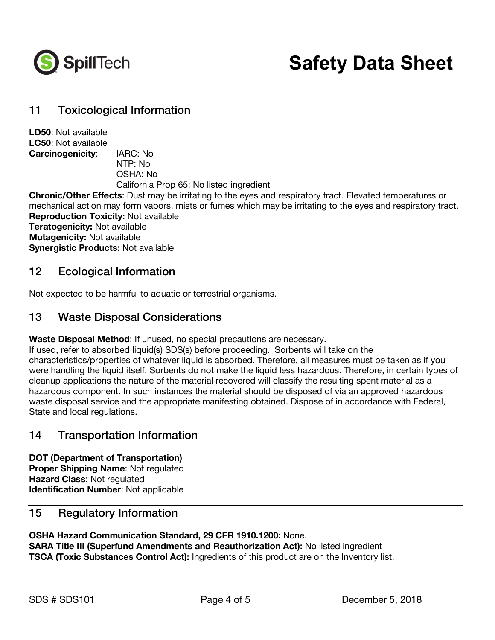

## 11 Toxicological Information

**LD50**: Not available **LC50**: Not available **Carcinogenicity**: IARC: No NTP: No OSHA: No California Prop 65: No listed ingredient

**Chronic/Other Effects**: Dust may be irritating to the eyes and respiratory tract. Elevated temperatures or mechanical action may form vapors, mists or fumes which may be irritating to the eyes and respiratory tract. **Reproduction Toxicity:** Not available **Teratogenicity:** Not available **Mutagenicity:** Not available **Synergistic Products:** Not available

## 12 Ecological Information

Not expected to be harmful to aquatic or terrestrial organisms.

## 13 Waste Disposal Considerations

**Waste Disposal Method**: If unused, no special precautions are necessary.

If used, refer to absorbed liquid(s) SDS(s) before proceeding. Sorbents will take on the characteristics/properties of whatever liquid is absorbed. Therefore, all measures must be taken as if you were handling the liquid itself. Sorbents do not make the liquid less hazardous. Therefore, in certain types of cleanup applications the nature of the material recovered will classify the resulting spent material as a hazardous component. In such instances the material should be disposed of via an approved hazardous waste disposal service and the appropriate manifesting obtained. Dispose of in accordance with Federal, State and local regulations.

## 14 Transportation Information

**DOT (Department of Transportation) Proper Shipping Name**: Not regulated **Hazard Class**: Not regulated **Identification Number**: Not applicable

## 15 Regulatory Information

**OSHA Hazard Communication Standard, 29 CFR 1910.1200:** None. **SARA Title III (Superfund Amendments and Reauthorization Act):** No listed ingredient **TSCA (Toxic Substances Control Act):** Ingredients of this product are on the Inventory list.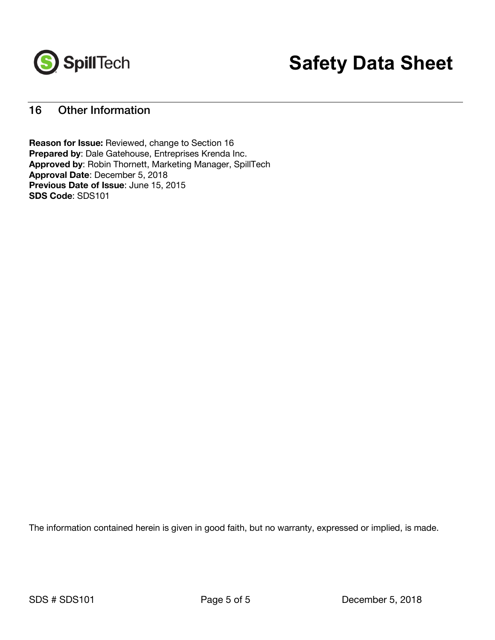

# **Safety Data Sheet**

## 16 Other Information

**Reason for Issue:** Reviewed, change to Section 16 **Prepared by**: Dale Gatehouse, Entreprises Krenda Inc. **Approved by**: Robin Thornett, Marketing Manager, SpillTech **Approval Date**: December 5, 2018 **Previous Date of Issue**: June 15, 2015 **SDS Code**: SDS101

The information contained herein is given in good faith, but no warranty, expressed or implied, is made.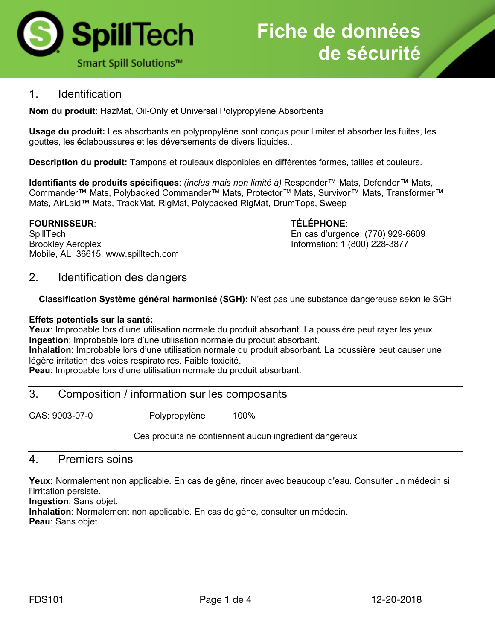

## 1. Identification

**Nom du produit**: HazMat, Oil-Only et Universal Polypropylene Absorbents

**Usage du produit:** Les absorbants en polypropylène sont conçus pour limiter et absorber les fuites, les gouttes, les éclaboussures et les déversements de divers liquides..

**Description du produit:** Tampons et rouleaux disponibles en différentes formes, tailles et couleurs.

**Identifiants de produits spécifiques**: *(inclus mais non limité à)* Responder™ Mats, Defender™ Mats, Commander™ Mats, Polybacked Commander™ Mats, Protector™ Mats, Survivor™ Mats, Transformer™ Mats, AirLaid™ Mats, TrackMat, RigMat, Polybacked RigMat, DrumTops, Sweep

#### **FOURNISSEUR**: **TÉLÉPHONE**:

SpillTech En cas d'urgence: (770) 929-6609 Brookley Aeroplex **Information: 1 (800)** 228-3877 Mobile, AL 36615, www.spilltech.com

## 2. Identification des dangers

**Classification Système général harmonisé (SGH):** N'est pas une substance dangereuse selon le SGH

#### **Effets potentiels sur la santé:**

**Yeux**: Improbable lors d'une utilisation normale du produit absorbant. La poussière peut rayer les yeux. **Ingestion**: Improbable lors d'une utilisation normale du produit absorbant.

**Inhalation**: Improbable lors d'une utilisation normale du produit absorbant. La poussière peut causer une légère irritation des voies respiratoires. Faible toxicité.

**Peau**: Improbable lors d'une utilisation normale du produit absorbant.

### 3. Composition / information sur les composants

CAS: 9003-07-0 Polypropylène 100%

Ces produits ne contiennent aucun ingrédient dangereux

#### 4. Premiers soins

**Yeux:** Normalement non applicable. En cas de gêne, rincer avec beaucoup d'eau. Consulter un médecin si l'irritation persiste.

**Ingestion**: Sans objet.

**Inhalation**: Normalement non applicable. En cas de gêne, consulter un médecin. **Peau**: Sans objet.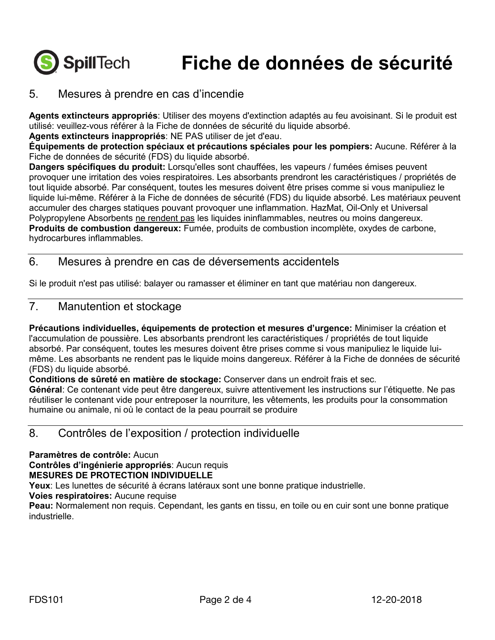

## **Fiche de données de sécurité**

## 5. Mesures à prendre en cas d'incendie

**Agents extincteurs appropriés**: Utiliser des moyens d'extinction adaptés au feu avoisinant. Si le produit est utilisé: veuillez-vous référer à la Fiche de données de sécurité du liquide absorbé.

**Agents extincteurs inappropriés**: NE PAS utiliser de jet d'eau.

**Équipements de protection spéciaux et précautions spéciales pour les pompiers:** Aucune. Référer à la Fiche de données de sécurité (FDS) du liquide absorbé.

**Dangers spécifiques du produit:** Lorsqu'elles sont chauffées, les vapeurs / fumées émises peuvent provoquer une irritation des voies respiratoires. Les absorbants prendront les caractéristiques / propriétés de tout liquide absorbé. Par conséquent, toutes les mesures doivent être prises comme si vous manipuliez le liquide lui-même. Référer à la Fiche de données de sécurité (FDS) du liquide absorbé. Les matériaux peuvent accumuler des charges statiques pouvant provoquer une inflammation. HazMat, Oil-Only et Universal Polypropylene Absorbents ne rendent pas les liquides ininflammables, neutres ou moins dangereux. **Produits de combustion dangereux:** Fumée, produits de combustion incomplète, oxydes de carbone, hydrocarbures inflammables.

## 6. Mesures à prendre en cas de déversements accidentels

Si le produit n'est pas utilisé: balayer ou ramasser et éliminer en tant que matériau non dangereux.

## 7. Manutention et stockage

**Précautions individuelles, équipements de protection et mesures d'urgence:** Minimiser la création et l'accumulation de poussière. Les absorbants prendront les caractéristiques / propriétés de tout liquide absorbé. Par conséquent, toutes les mesures doivent être prises comme si vous manipuliez le liquide luimême. Les absorbants ne rendent pas le liquide moins dangereux. Référer à la Fiche de données de sécurité (FDS) du liquide absorbé.

**Conditions de sûreté en matière de stockage:** Conserver dans un endroit frais et sec.

**Général**: Ce contenant vide peut être dangereux, suivre attentivement les instructions sur l'étiquette. Ne pas réutiliser le contenant vide pour entreposer la nourriture, les vêtements, les produits pour la consommation humaine ou animale, ni où le contact de la peau pourrait se produire

## 8. Contrôles de l'exposition / protection individuelle

**Paramètres de contrôle:** Aucun **Contrôles d'ingénierie appropriés**: Aucun requis

### **MESURES DE PROTECTION INDIVIDUELLE**

**Yeux**: Les lunettes de sécurité à écrans latéraux sont une bonne pratique industrielle.

**Voies respiratoires:** Aucune requise

**Peau:** Normalement non requis. Cependant, les gants en tissu, en toile ou en cuir sont une bonne pratique industrielle.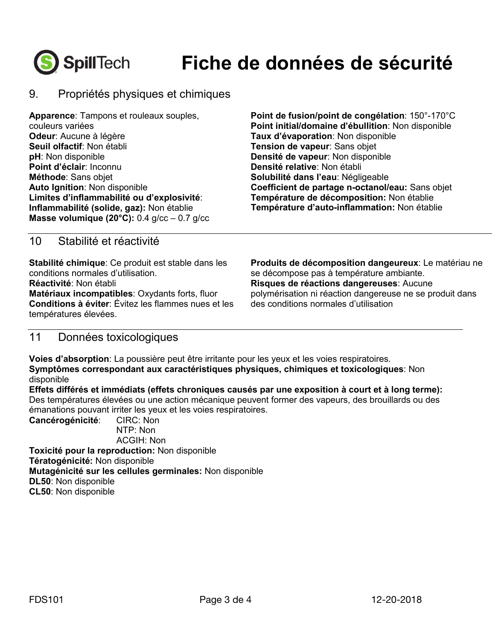

## **Fiche de données de sécurité**

## 9. Propriétés physiques et chimiques

**Apparence**: Tampons et rouleaux souples, couleurs variées **Odeur**: Aucune à légère **Seuil olfactif**: Non établi **pH**: Non disponible **Point d'éclair**: Inconnu **Méthode**: Sans objet **Auto Ignition**: Non disponible **Limites d'inflammabilité ou d'explosivité**: **Inflammabilité (solide, gaz):** Non établie **Masse volumique (20°C):** 0.4 g/cc – 0.7 g/cc **Point de fusion/point de congélation**: 150°-170°C **Point initial/domaine d'ébullition**: Non disponible **Taux d'évaporation**: Non disponible **Tension de vapeur**: Sans objet **Densité de vapeur**: Non disponible **Densité relative**: Non établi **Solubilité dans l'eau**: Négligeable **Coefficient de partage n-octanol/eau:** Sans objet **Température de décomposition:** Non établie **Température d'auto-inflammation:** Non établie

## 10 Stabilité et réactivité

**Stabilité chimique**: Ce produit est stable dans les conditions normales d'utilisation. **Réactivité**: Non établi **Matériaux incompatibles**: Oxydants forts, fluor **Conditions à éviter**: Évitez les flammes nues et les températures élevées.

**Produits de décomposition dangeureux**: Le matériau ne se décompose pas à température ambiante. **Risques de réactions dangereuses**: Aucune polymérisation ni réaction dangereuse ne se produit dans des conditions normales d'utilisation

## 11 Données toxicologiques

**Voies d'absorption**: La poussière peut être irritante pour les yeux et les voies respiratoires. **Symptômes correspondant aux caractéristiques physiques, chimiques et toxicologiques**: Non disponible

**Effets différés et immédiats (effets chroniques causés par une exposition à court et à long terme):**  Des températures élevées ou une action mécanique peuvent former des vapeurs, des brouillards ou des émanations pouvant irriter les yeux et les voies respiratoires.

**Cancérogénicité**: CIRC: Non NTP: Non ACGIH: Non

**Toxicité pour la reproduction:** Non disponible **Tératogénicité:** Non disponible **Mutagénicité sur les cellules germinales:** Non disponible **DL50**: Non disponible

**CL50**: Non disponible